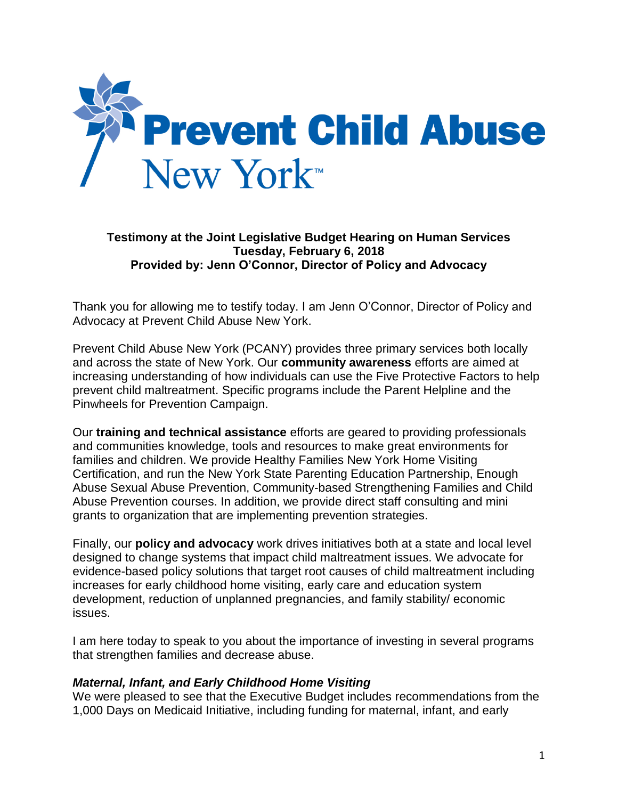

## **Testimony at the Joint Legislative Budget Hearing on Human Services Tuesday, February 6, 2018 Provided by: Jenn O'Connor, Director of Policy and Advocacy**

Thank you for allowing me to testify today. I am Jenn O'Connor, Director of Policy and Advocacy at Prevent Child Abuse New York.

Prevent Child Abuse New York (PCANY) provides three primary services both locally and across the state of New York. Our **community awareness** efforts are aimed at increasing understanding of how individuals can use the Five Protective Factors to help prevent child maltreatment. Specific programs include the Parent Helpline and the Pinwheels for Prevention Campaign.

Our **training and technical assistance** efforts are geared to providing professionals and communities knowledge, tools and resources to make great environments for families and children. We provide Healthy Families New York Home Visiting Certification, and run the New York State Parenting Education Partnership, Enough Abuse Sexual Abuse Prevention, Community-based Strengthening Families and Child Abuse Prevention courses. In addition, we provide direct staff consulting and mini grants to organization that are implementing prevention strategies.

Finally, our **policy and advocacy** work drives initiatives both at a state and local level designed to change systems that impact child maltreatment issues. We advocate for evidence-based policy solutions that target root causes of child maltreatment including increases for early childhood home visiting, early care and education system development, reduction of unplanned pregnancies, and family stability/ economic issues.

I am here today to speak to you about the importance of investing in several programs that strengthen families and decrease abuse.

## *Maternal, Infant, and Early Childhood Home Visiting*

We were pleased to see that the Executive Budget includes recommendations from the 1,000 Days on Medicaid Initiative, including funding for maternal, infant, and early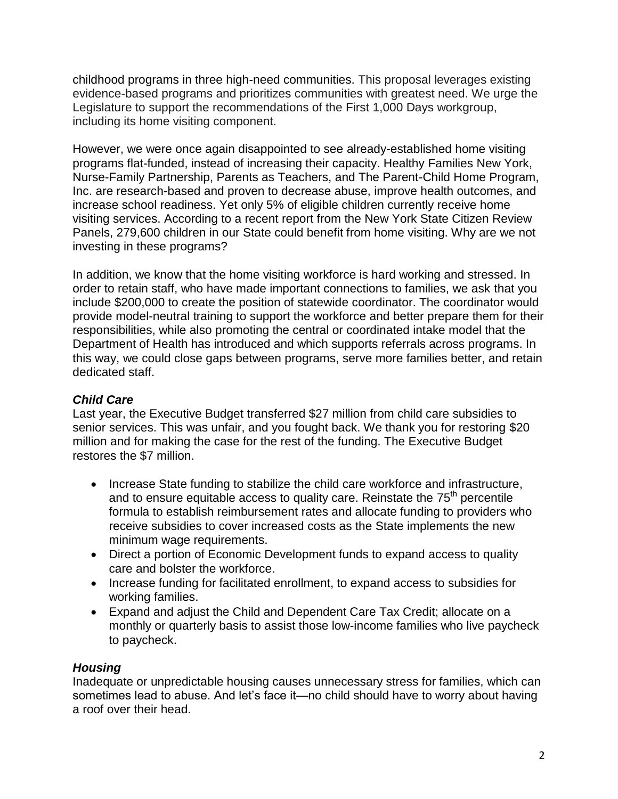childhood programs in three high-need communities. This proposal leverages existing evidence-based programs and prioritizes communities with greatest need. We urge the Legislature to support the recommendations of the First 1,000 Days workgroup, including its home visiting component.

However, we were once again disappointed to see already-established home visiting programs flat-funded, instead of increasing their capacity. Healthy Families New York, Nurse-Family Partnership, Parents as Teachers, and The Parent-Child Home Program, Inc. are research-based and proven to decrease abuse, improve health outcomes, and increase school readiness. Yet only 5% of eligible children currently receive home visiting services. According to a recent report from the New York State Citizen Review Panels, 279,600 children in our State could benefit from home visiting. Why are we not investing in these programs?

In addition, we know that the home visiting workforce is hard working and stressed. In order to retain staff, who have made important connections to families, we ask that you include \$200,000 to create the position of statewide coordinator. The coordinator would provide model-neutral training to support the workforce and better prepare them for their responsibilities, while also promoting the central or coordinated intake model that the Department of Health has introduced and which supports referrals across programs. In this way, we could close gaps between programs, serve more families better, and retain dedicated staff.

## *Child Care*

Last year, the Executive Budget transferred \$27 million from child care subsidies to senior services. This was unfair, and you fought back. We thank you for restoring \$20 million and for making the case for the rest of the funding. The Executive Budget restores the \$7 million.

- Increase State funding to stabilize the child care workforce and infrastructure, and to ensure equitable access to quality care. Reinstate the  $75<sup>th</sup>$  percentile formula to establish reimbursement rates and allocate funding to providers who receive subsidies to cover increased costs as the State implements the new minimum wage requirements.
- Direct a portion of Economic Development funds to expand access to quality care and bolster the workforce.
- Increase funding for facilitated enrollment, to expand access to subsidies for working families.
- Expand and adjust the Child and Dependent Care Tax Credit; allocate on a monthly or quarterly basis to assist those low-income families who live paycheck to paycheck.

## *Housing*

Inadequate or unpredictable housing causes unnecessary stress for families, which can sometimes lead to abuse. And let's face it—no child should have to worry about having a roof over their head.